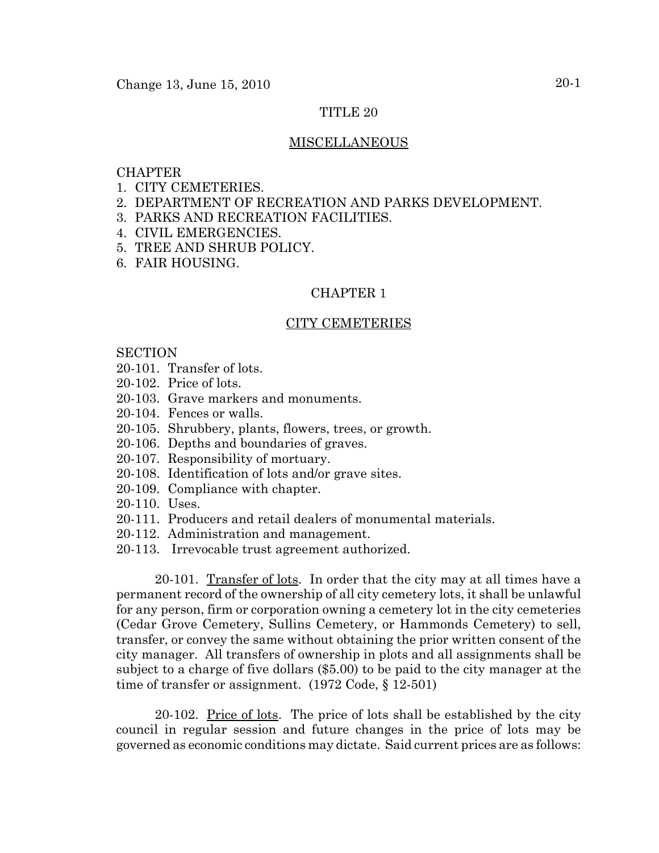# TITLE 20

## MISCELLANEOUS

# CHAPTER

- 1. CITY CEMETERIES.
- 2. DEPARTMENT OF RECREATION AND PARKS DEVELOPMENT.
- 3. PARKS AND RECREATION FACILITIES.
- 4. CIVIL EMERGENCIES.
- 5. TREE AND SHRUB POLICY.
- 6. FAIR HOUSING.

# CHAPTER 1

# CITY CEMETERIES

**SECTION** 

- 20-101. Transfer of lots.
- 20-102. Price of lots.
- 20-103. Grave markers and monuments.
- 20-104. Fences or walls.
- 20-105. Shrubbery, plants, flowers, trees, or growth.
- 20-106. Depths and boundaries of graves.
- 20-107. Responsibility of mortuary.
- 20-108. Identification of lots and/or grave sites.
- 20-109. Compliance with chapter.
- 20-110. Uses.
- 20-111. Producers and retail dealers of monumental materials.
- 20-112. Administration and management.
- 20-113. Irrevocable trust agreement authorized.

20-101. Transfer of lots. In order that the city may at all times have a permanent record of the ownership of all city cemetery lots, it shall be unlawful for any person, firm or corporation owning a cemetery lot in the city cemeteries (Cedar Grove Cemetery, Sullins Cemetery, or Hammonds Cemetery) to sell, transfer, or convey the same without obtaining the prior written consent of the city manager. All transfers of ownership in plots and all assignments shall be subject to a charge of five dollars (\$5.00) to be paid to the city manager at the time of transfer or assignment. (1972 Code, § 12-501)

20-102. <u>Price of lots</u>. The price of lots shall be established by the city council in regular session and future changes in the price of lots may be governed as economic conditions may dictate. Said current prices are as follows: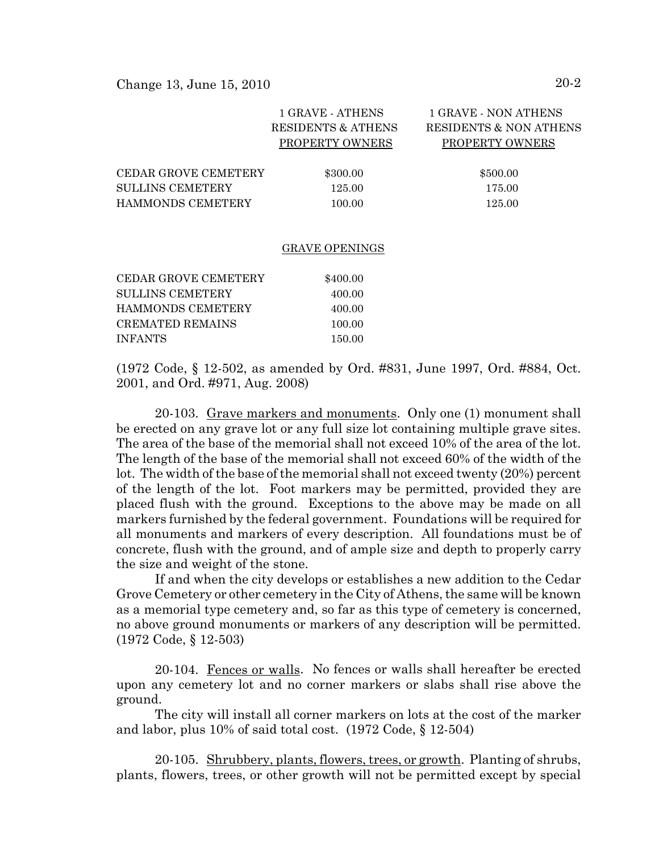|                          | <b>1 GRAVE - ATHENS</b>       | 1 GRAVE - NON ATHENS              |
|--------------------------|-------------------------------|-----------------------------------|
|                          | <b>RESIDENTS &amp; ATHENS</b> | <b>RESIDENTS &amp; NON ATHENS</b> |
|                          | PROPERTY OWNERS               | PROPERTY OWNERS                   |
|                          |                               |                                   |
| CEDAR GROVE CEMETERY     | \$300.00                      | \$500.00                          |
| SULLINS CEMETERY         | 125.00                        | 175.00                            |
| <b>HAMMONDS CEMETERY</b> | 100.00                        | 125.00                            |
|                          |                               |                                   |

#### GRAVE OPENINGS

| CEDAR GROVE CEMETERY     | \$400.00 |
|--------------------------|----------|
| SULLINS CEMETERY         | 400.00   |
| <b>HAMMONDS CEMETERY</b> | 400.00   |
| CREMATED REMAINS         | 100.00   |
| <b>INFANTS</b>           | 150.00   |

(1972 Code, § 12-502, as amended by Ord. #831, June 1997, Ord. #884, Oct. 2001, and Ord. #971, Aug. 2008)

20-103. Grave markers and monuments. Only one (1) monument shall be erected on any grave lot or any full size lot containing multiple grave sites. The area of the base of the memorial shall not exceed 10% of the area of the lot. The length of the base of the memorial shall not exceed 60% of the width of the lot. The width of the base of the memorial shall not exceed twenty (20%) percent of the length of the lot. Foot markers may be permitted, provided they are placed flush with the ground. Exceptions to the above may be made on all markers furnished by the federal government. Foundations will be required for all monuments and markers of every description. All foundations must be of concrete, flush with the ground, and of ample size and depth to properly carry the size and weight of the stone.

If and when the city develops or establishes a new addition to the Cedar Grove Cemetery or other cemetery in the City of Athens, the same will be known as a memorial type cemetery and, so far as this type of cemetery is concerned, no above ground monuments or markers of any description will be permitted. (1972 Code, § 12-503)

20-104. Fences or walls. No fences or walls shall hereafter be erected upon any cemetery lot and no corner markers or slabs shall rise above the ground.

The city will install all corner markers on lots at the cost of the marker and labor, plus 10% of said total cost. (1972 Code, § 12-504)

20-105. Shrubbery, plants, flowers, trees, or growth. Planting of shrubs, plants, flowers, trees, or other growth will not be permitted except by special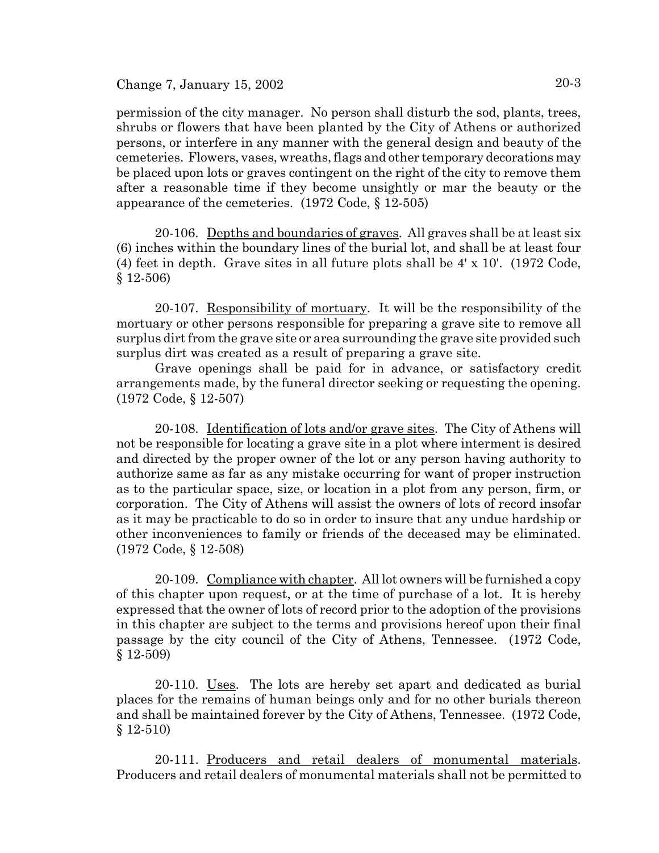# Change 7, January 15, 2002  $20-3$

permission of the city manager. No person shall disturb the sod, plants, trees, shrubs or flowers that have been planted by the City of Athens or authorized persons, or interfere in any manner with the general design and beauty of the cemeteries. Flowers, vases, wreaths, flags and other temporary decorations may be placed upon lots or graves contingent on the right of the city to remove them after a reasonable time if they become unsightly or mar the beauty or the appearance of the cemeteries. (1972 Code, § 12-505)

20-106. Depths and boundaries of graves. All graves shall be at least six (6) inches within the boundary lines of the burial lot, and shall be at least four (4) feet in depth. Grave sites in all future plots shall be 4' x 10'. (1972 Code, § 12-506)

20-107. Responsibility of mortuary. It will be the responsibility of the mortuary or other persons responsible for preparing a grave site to remove all surplus dirt from the grave site or area surrounding the grave site provided such surplus dirt was created as a result of preparing a grave site.

Grave openings shall be paid for in advance, or satisfactory credit arrangements made, by the funeral director seeking or requesting the opening. (1972 Code, § 12-507)

20-108. Identification of lots and/or grave sites. The City of Athens will not be responsible for locating a grave site in a plot where interment is desired and directed by the proper owner of the lot or any person having authority to authorize same as far as any mistake occurring for want of proper instruction as to the particular space, size, or location in a plot from any person, firm, or corporation. The City of Athens will assist the owners of lots of record insofar as it may be practicable to do so in order to insure that any undue hardship or other inconveniences to family or friends of the deceased may be eliminated. (1972 Code, § 12-508)

20-109. Compliance with chapter. All lot owners will be furnished a copy of this chapter upon request, or at the time of purchase of a lot. It is hereby expressed that the owner of lots of record prior to the adoption of the provisions in this chapter are subject to the terms and provisions hereof upon their final passage by the city council of the City of Athens, Tennessee. (1972 Code, § 12-509)

20-110. Uses. The lots are hereby set apart and dedicated as burial places for the remains of human beings only and for no other burials thereon and shall be maintained forever by the City of Athens, Tennessee. (1972 Code, § 12-510)

20-111. Producers and retail dealers of monumental materials. Producers and retail dealers of monumental materials shall not be permitted to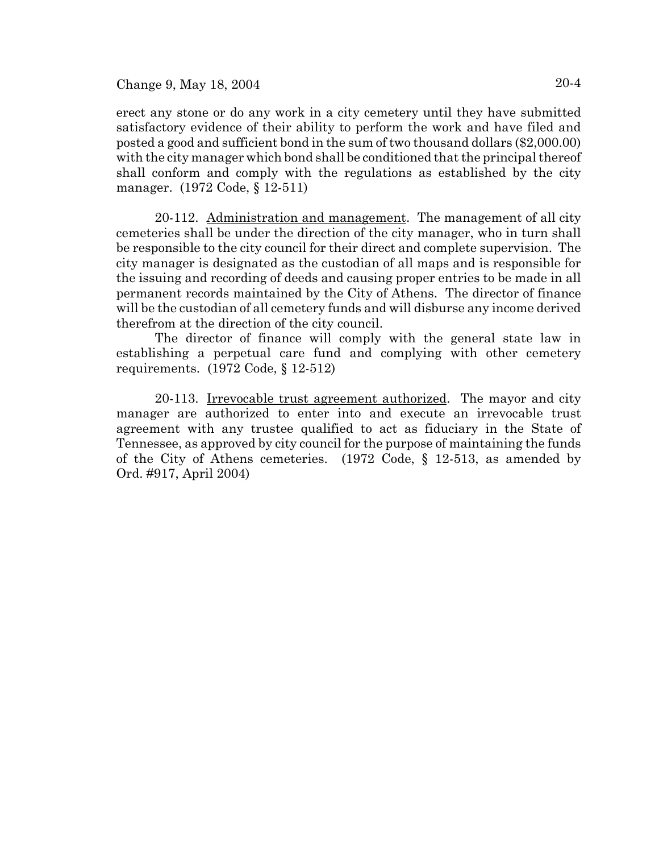erect any stone or do any work in a city cemetery until they have submitted satisfactory evidence of their ability to perform the work and have filed and posted a good and sufficient bond in the sum of two thousand dollars (\$2,000.00) with the city manager which bond shall be conditioned that the principal thereof shall conform and comply with the regulations as established by the city manager. (1972 Code, § 12-511)

20-112. Administration and management. The management of all city cemeteries shall be under the direction of the city manager, who in turn shall be responsible to the city council for their direct and complete supervision. The city manager is designated as the custodian of all maps and is responsible for the issuing and recording of deeds and causing proper entries to be made in all permanent records maintained by the City of Athens. The director of finance will be the custodian of all cemetery funds and will disburse any income derived therefrom at the direction of the city council.

The director of finance will comply with the general state law in establishing a perpetual care fund and complying with other cemetery requirements. (1972 Code, § 12-512)

20-113. Irrevocable trust agreement authorized. The mayor and city manager are authorized to enter into and execute an irrevocable trust agreement with any trustee qualified to act as fiduciary in the State of Tennessee, as approved by city council for the purpose of maintaining the funds of the City of Athens cemeteries. (1972 Code, § 12-513, as amended by Ord. #917, April 2004)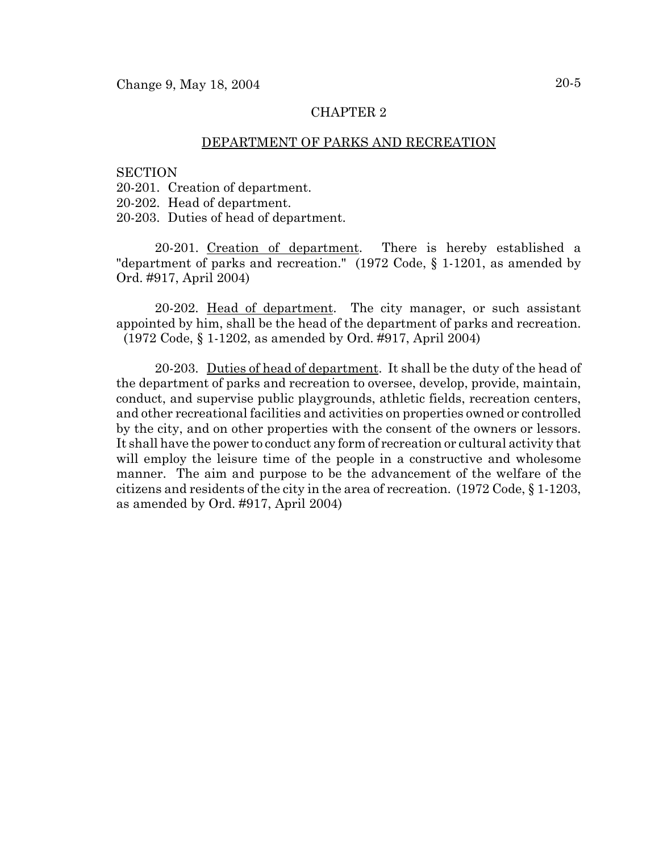# CHAPTER 2

## DEPARTMENT OF PARKS AND RECREATION

#### **SECTION**

20-201. Creation of department.

20-202. Head of department.

20-203. Duties of head of department.

20-201. Creation of department. There is hereby established a "department of parks and recreation." (1972 Code, § 1-1201, as amended by Ord. #917, April 2004)

20-202. Head of department. The city manager, or such assistant appointed by him, shall be the head of the department of parks and recreation. (1972 Code, § 1-1202, as amended by Ord. #917, April 2004)

20-203. Duties of head of department. It shall be the duty of the head of the department of parks and recreation to oversee, develop, provide, maintain, conduct, and supervise public playgrounds, athletic fields, recreation centers, and other recreational facilities and activities on properties owned or controlled by the city, and on other properties with the consent of the owners or lessors. It shall have the power to conduct any form of recreation or cultural activity that will employ the leisure time of the people in a constructive and wholesome manner. The aim and purpose to be the advancement of the welfare of the citizens and residents of the city in the area of recreation. (1972 Code, § 1-1203, as amended by Ord. #917, April 2004)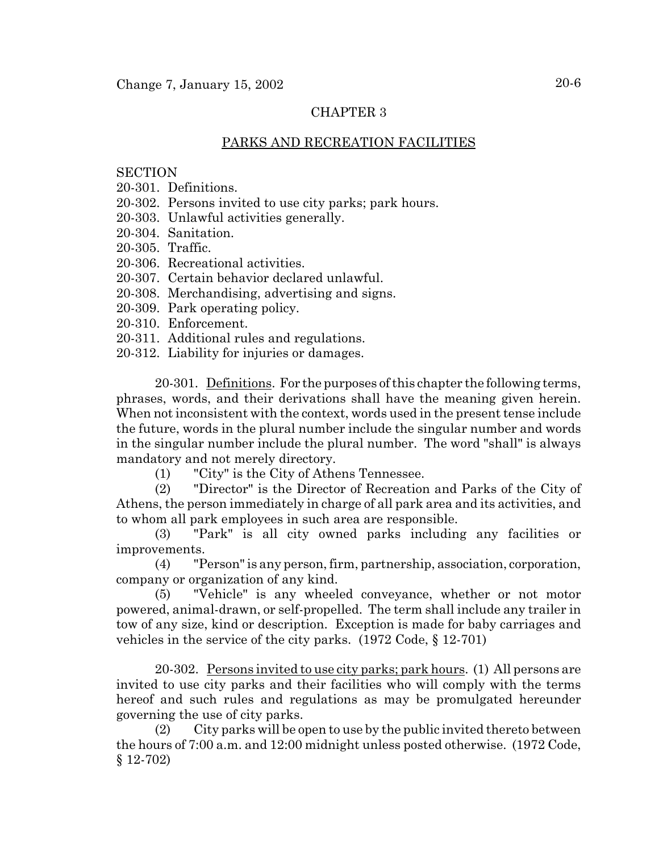# CHAPTER 3

# PARKS AND RECREATION FACILITIES

## **SECTION**

- 20-301. Definitions.
- 20-302. Persons invited to use city parks; park hours.
- 20-303. Unlawful activities generally.
- 20-304. Sanitation.
- 20-305. Traffic.
- 20-306. Recreational activities.
- 20-307. Certain behavior declared unlawful.
- 20-308. Merchandising, advertising and signs.
- 20-309. Park operating policy.
- 20-310. Enforcement.
- 20-311. Additional rules and regulations.
- 20-312. Liability for injuries or damages.

20-301. Definitions. For the purposes of this chapter the following terms, phrases, words, and their derivations shall have the meaning given herein. When not inconsistent with the context, words used in the present tense include the future, words in the plural number include the singular number and words in the singular number include the plural number. The word "shall" is always mandatory and not merely directory.

(1) "City" is the City of Athens Tennessee.

(2) "Director" is the Director of Recreation and Parks of the City of Athens, the person immediately in charge of all park area and its activities, and to whom all park employees in such area are responsible.

(3) "Park" is all city owned parks including any facilities or improvements.

(4) "Person" is any person, firm, partnership, association, corporation, company or organization of any kind.

(5) "Vehicle" is any wheeled conveyance, whether or not motor powered, animal-drawn, or self-propelled. The term shall include any trailer in tow of any size, kind or description. Exception is made for baby carriages and vehicles in the service of the city parks. (1972 Code, § 12-701)

20-302. Persons invited to use city parks; park hours. (1) All persons are invited to use city parks and their facilities who will comply with the terms hereof and such rules and regulations as may be promulgated hereunder governing the use of city parks.

(2) City parks will be open to use by the public invited thereto between the hours of 7:00 a.m. and 12:00 midnight unless posted otherwise. (1972 Code, § 12-702)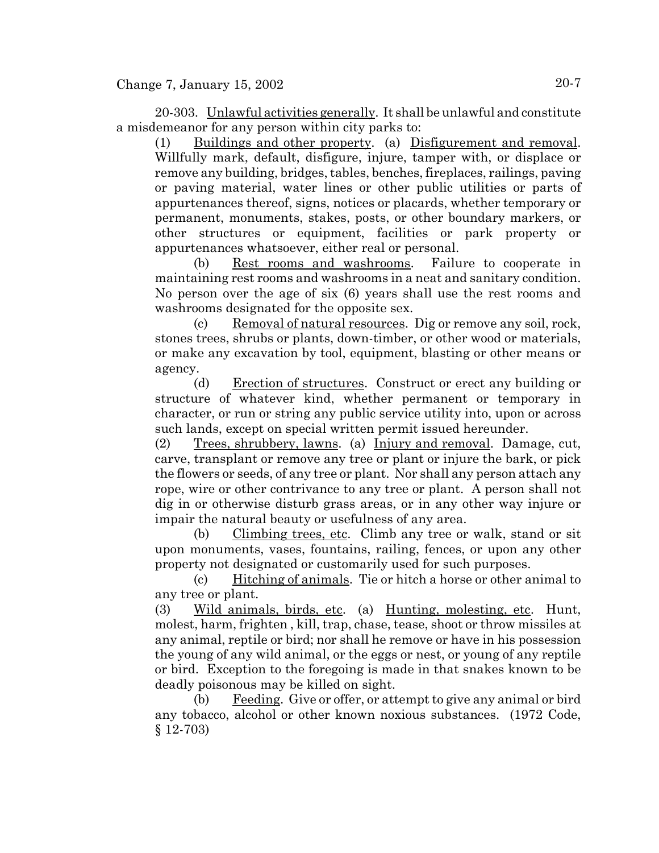20-303. Unlawful activities generally. It shall be unlawful and constitute a misdemeanor for any person within city parks to:

(1) Buildings and other property. (a) Disfigurement and removal. Willfully mark, default, disfigure, injure, tamper with, or displace or remove any building, bridges, tables, benches, fireplaces, railings, paving or paving material, water lines or other public utilities or parts of appurtenances thereof, signs, notices or placards, whether temporary or permanent, monuments, stakes, posts, or other boundary markers, or other structures or equipment, facilities or park property or appurtenances whatsoever, either real or personal.

(b) Rest rooms and washrooms. Failure to cooperate in maintaining rest rooms and washrooms in a neat and sanitary condition. No person over the age of six (6) years shall use the rest rooms and washrooms designated for the opposite sex.

(c) Removal of natural resources. Dig or remove any soil, rock, stones trees, shrubs or plants, down-timber, or other wood or materials, or make any excavation by tool, equipment, blasting or other means or agency.

(d) Erection of structures. Construct or erect any building or structure of whatever kind, whether permanent or temporary in character, or run or string any public service utility into, upon or across such lands, except on special written permit issued hereunder.

(2) Trees, shrubbery, lawns. (a) Injury and removal. Damage, cut, carve, transplant or remove any tree or plant or injure the bark, or pick the flowers or seeds, of any tree or plant. Nor shall any person attach any rope, wire or other contrivance to any tree or plant. A person shall not dig in or otherwise disturb grass areas, or in any other way injure or impair the natural beauty or usefulness of any area.

(b) Climbing trees, etc. Climb any tree or walk, stand or sit upon monuments, vases, fountains, railing, fences, or upon any other property not designated or customarily used for such purposes.

(c) Hitching of animals. Tie or hitch a horse or other animal to any tree or plant.

(3) Wild animals, birds, etc. (a) Hunting, molesting, etc. Hunt, molest, harm, frighten , kill, trap, chase, tease, shoot or throw missiles at any animal, reptile or bird; nor shall he remove or have in his possession the young of any wild animal, or the eggs or nest, or young of any reptile or bird. Exception to the foregoing is made in that snakes known to be deadly poisonous may be killed on sight.

(b) Feeding. Give or offer, or attempt to give any animal or bird any tobacco, alcohol or other known noxious substances. (1972 Code, § 12-703)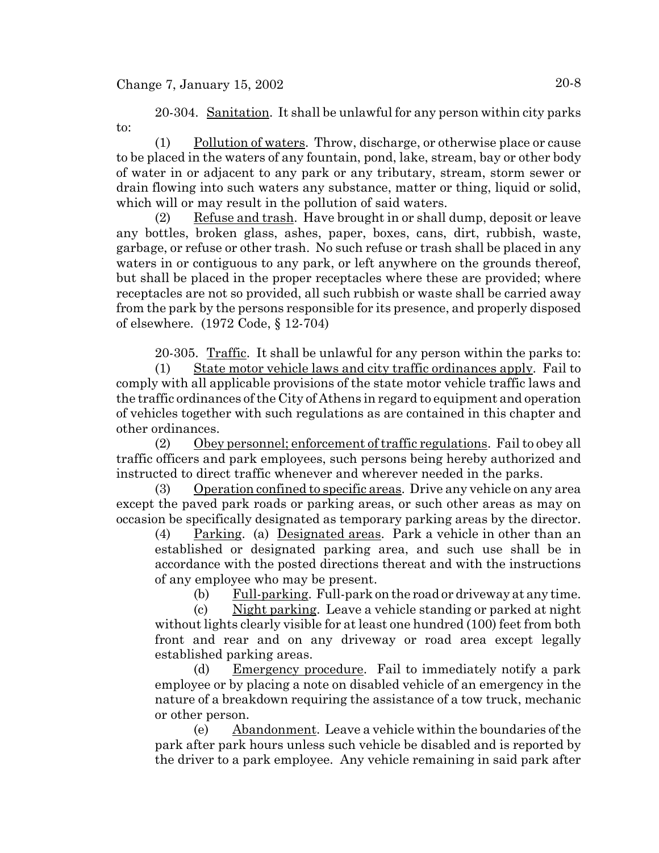20-304. Sanitation. It shall be unlawful for any person within city parks to:

(1) Pollution of waters. Throw, discharge, or otherwise place or cause to be placed in the waters of any fountain, pond, lake, stream, bay or other body of water in or adjacent to any park or any tributary, stream, storm sewer or drain flowing into such waters any substance, matter or thing, liquid or solid, which will or may result in the pollution of said waters.

(2) Refuse and trash. Have brought in or shall dump, deposit or leave any bottles, broken glass, ashes, paper, boxes, cans, dirt, rubbish, waste, garbage, or refuse or other trash. No such refuse or trash shall be placed in any waters in or contiguous to any park, or left anywhere on the grounds thereof, but shall be placed in the proper receptacles where these are provided; where receptacles are not so provided, all such rubbish or waste shall be carried away from the park by the persons responsible for its presence, and properly disposed of elsewhere. (1972 Code, § 12-704)

20-305. Traffic. It shall be unlawful for any person within the parks to:

(1) State motor vehicle laws and city traffic ordinances apply. Fail to comply with all applicable provisions of the state motor vehicle traffic laws and the traffic ordinances of the City of Athens in regard to equipment and operation of vehicles together with such regulations as are contained in this chapter and other ordinances.

(2) Obey personnel; enforcement of traffic regulations. Fail to obey all traffic officers and park employees, such persons being hereby authorized and instructed to direct traffic whenever and wherever needed in the parks.

(3) Operation confined to specific areas. Drive any vehicle on any area except the paved park roads or parking areas, or such other areas as may on occasion be specifically designated as temporary parking areas by the director.

(4) Parking. (a) Designated areas. Park a vehicle in other than an established or designated parking area, and such use shall be in accordance with the posted directions thereat and with the instructions of any employee who may be present.

(b) Full-parking. Full-park on the road or driveway at any time.

(c) Night parking. Leave a vehicle standing or parked at night without lights clearly visible for at least one hundred (100) feet from both front and rear and on any driveway or road area except legally established parking areas.

(d) Emergency procedure. Fail to immediately notify a park employee or by placing a note on disabled vehicle of an emergency in the nature of a breakdown requiring the assistance of a tow truck, mechanic or other person.

(e) Abandonment. Leave a vehicle within the boundaries of the park after park hours unless such vehicle be disabled and is reported by the driver to a park employee. Any vehicle remaining in said park after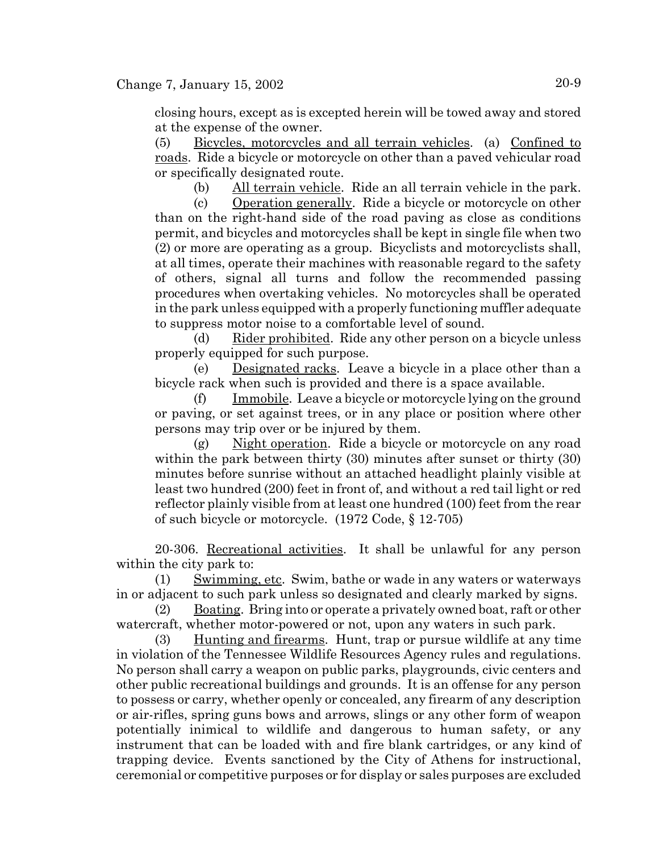closing hours, except as is excepted herein will be towed away and stored at the expense of the owner.

(5) Bicycles, motorcycles and all terrain vehicles. (a) Confined to roads. Ride a bicycle or motorcycle on other than a paved vehicular road or specifically designated route.

(b) All terrain vehicle. Ride an all terrain vehicle in the park.

(c) Operation generally. Ride a bicycle or motorcycle on other than on the right-hand side of the road paving as close as conditions permit, and bicycles and motorcycles shall be kept in single file when two (2) or more are operating as a group. Bicyclists and motorcyclists shall, at all times, operate their machines with reasonable regard to the safety of others, signal all turns and follow the recommended passing procedures when overtaking vehicles. No motorcycles shall be operated in the park unless equipped with a properly functioning muffler adequate to suppress motor noise to a comfortable level of sound.

(d)  $Rider$  prohibited. Ride any other person on a bicycle unless properly equipped for such purpose.

(e) Designated racks. Leave a bicycle in a place other than a bicycle rack when such is provided and there is a space available.

(f) Immobile. Leave a bicycle or motorcycle lying on the ground or paving, or set against trees, or in any place or position where other persons may trip over or be injured by them.

(g) Night operation. Ride a bicycle or motorcycle on any road within the park between thirty (30) minutes after sunset or thirty (30) minutes before sunrise without an attached headlight plainly visible at least two hundred (200) feet in front of, and without a red tail light or red reflector plainly visible from at least one hundred (100) feet from the rear of such bicycle or motorcycle. (1972 Code, § 12-705)

20-306. Recreational activities. It shall be unlawful for any person within the city park to:

(1) Swimming, etc. Swim, bathe or wade in any waters or waterways in or adjacent to such park unless so designated and clearly marked by signs.

(2) Boating. Bring into or operate a privately owned boat, raft or other watercraft, whether motor-powered or not, upon any waters in such park.

(3) Hunting and firearms. Hunt, trap or pursue wildlife at any time in violation of the Tennessee Wildlife Resources Agency rules and regulations. No person shall carry a weapon on public parks, playgrounds, civic centers and other public recreational buildings and grounds. It is an offense for any person to possess or carry, whether openly or concealed, any firearm of any description or air-rifles, spring guns bows and arrows, slings or any other form of weapon potentially inimical to wildlife and dangerous to human safety, or any instrument that can be loaded with and fire blank cartridges, or any kind of trapping device. Events sanctioned by the City of Athens for instructional, ceremonial or competitive purposes or for display or sales purposes are excluded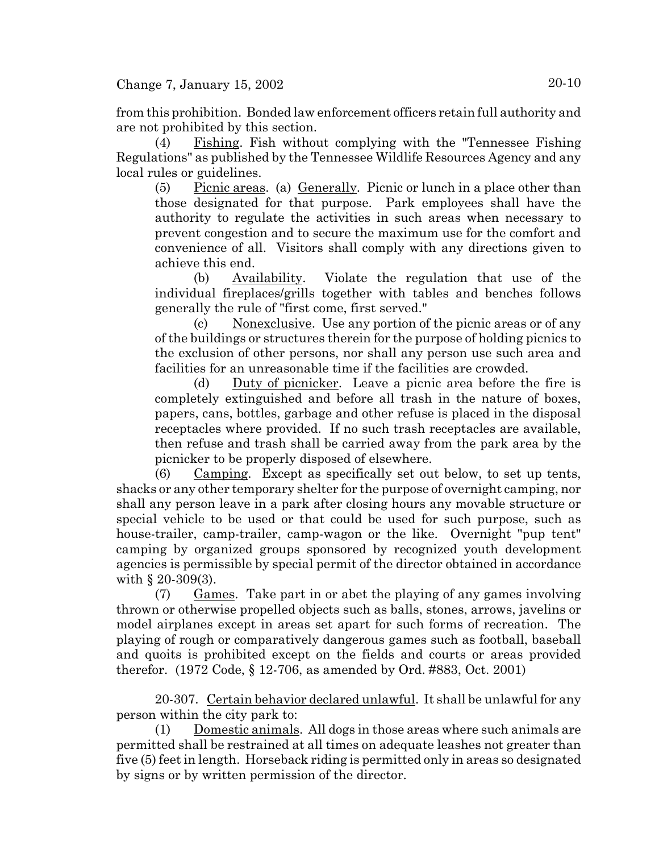from this prohibition. Bonded law enforcement officers retain full authority and are not prohibited by this section.

(4) Fishing. Fish without complying with the "Tennessee Fishing Regulations" as published by the Tennessee Wildlife Resources Agency and any local rules or guidelines.

 $(5)$  Picnic areas. (a) Generally. Picnic or lunch in a place other than those designated for that purpose. Park employees shall have the authority to regulate the activities in such areas when necessary to prevent congestion and to secure the maximum use for the comfort and convenience of all. Visitors shall comply with any directions given to achieve this end.

(b) Availability. Violate the regulation that use of the individual fireplaces/grills together with tables and benches follows generally the rule of "first come, first served."

(c) Nonexclusive. Use any portion of the picnic areas or of any of the buildings or structures therein for the purpose of holding picnics to the exclusion of other persons, nor shall any person use such area and facilities for an unreasonable time if the facilities are crowded.

(d) Duty of picnicker. Leave a picnic area before the fire is completely extinguished and before all trash in the nature of boxes, papers, cans, bottles, garbage and other refuse is placed in the disposal receptacles where provided. If no such trash receptacles are available, then refuse and trash shall be carried away from the park area by the picnicker to be properly disposed of elsewhere.

(6) Camping. Except as specifically set out below, to set up tents, shacks or any other temporary shelter for the purpose of overnight camping, nor shall any person leave in a park after closing hours any movable structure or special vehicle to be used or that could be used for such purpose, such as house-trailer, camp-trailer, camp-wagon or the like. Overnight "pup tent" camping by organized groups sponsored by recognized youth development agencies is permissible by special permit of the director obtained in accordance with § 20-309(3).

(7) Games. Take part in or abet the playing of any games involving thrown or otherwise propelled objects such as balls, stones, arrows, javelins or model airplanes except in areas set apart for such forms of recreation. The playing of rough or comparatively dangerous games such as football, baseball and quoits is prohibited except on the fields and courts or areas provided therefor. (1972 Code, § 12-706, as amended by Ord. #883, Oct. 2001)

20-307. Certain behavior declared unlawful. It shall be unlawful for any person within the city park to:

(1) Domestic animals. All dogs in those areas where such animals are permitted shall be restrained at all times on adequate leashes not greater than five (5) feet in length. Horseback riding is permitted only in areas so designated by signs or by written permission of the director.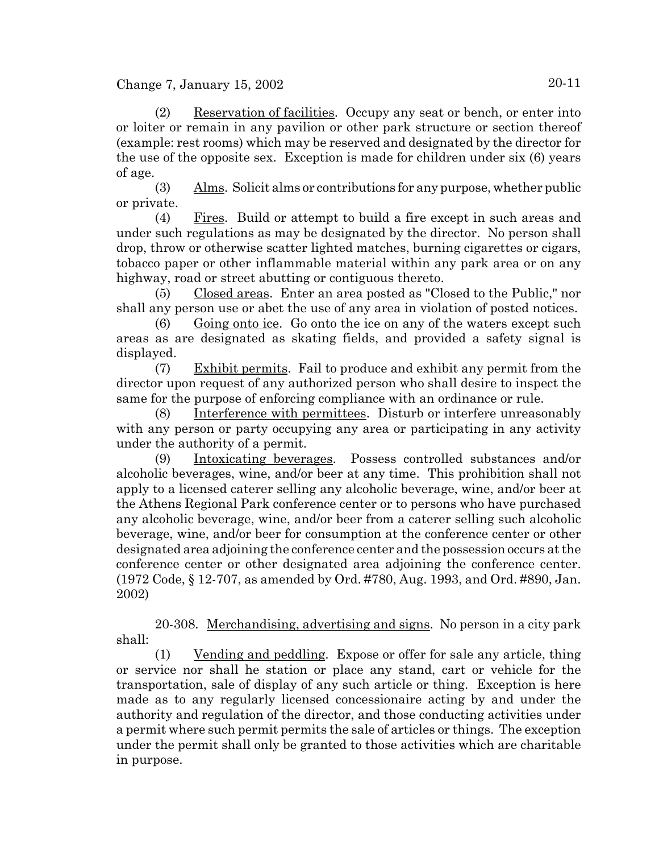Change 7, January 15, 2002 20-11

(2) Reservation of facilities. Occupy any seat or bench, or enter into or loiter or remain in any pavilion or other park structure or section thereof (example: rest rooms) which may be reserved and designated by the director for the use of the opposite sex. Exception is made for children under six (6) years of age.

 $(3)$  Alms. Solicit alms or contributions for any purpose, whether public or private.

(4) Fires. Build or attempt to build a fire except in such areas and under such regulations as may be designated by the director. No person shall drop, throw or otherwise scatter lighted matches, burning cigarettes or cigars, tobacco paper or other inflammable material within any park area or on any highway, road or street abutting or contiguous thereto.

(5) Closed areas. Enter an area posted as "Closed to the Public," nor shall any person use or abet the use of any area in violation of posted notices.

(6) Going onto ice. Go onto the ice on any of the waters except such areas as are designated as skating fields, and provided a safety signal is displayed.

(7) Exhibit permits. Fail to produce and exhibit any permit from the director upon request of any authorized person who shall desire to inspect the same for the purpose of enforcing compliance with an ordinance or rule.

(8) Interference with permittees. Disturb or interfere unreasonably with any person or party occupying any area or participating in any activity under the authority of a permit.

(9) Intoxicating beverages. Possess controlled substances and/or alcoholic beverages, wine, and/or beer at any time. This prohibition shall not apply to a licensed caterer selling any alcoholic beverage, wine, and/or beer at the Athens Regional Park conference center or to persons who have purchased any alcoholic beverage, wine, and/or beer from a caterer selling such alcoholic beverage, wine, and/or beer for consumption at the conference center or other designated area adjoining the conference center and the possession occurs at the conference center or other designated area adjoining the conference center. (1972 Code, § 12-707, as amended by Ord. #780, Aug. 1993, and Ord. #890, Jan. 2002)

20-308. Merchandising, advertising and signs. No person in a city park shall:

(1) Vending and peddling. Expose or offer for sale any article, thing or service nor shall he station or place any stand, cart or vehicle for the transportation, sale of display of any such article or thing. Exception is here made as to any regularly licensed concessionaire acting by and under the authority and regulation of the director, and those conducting activities under a permit where such permit permits the sale of articles or things. The exception under the permit shall only be granted to those activities which are charitable in purpose.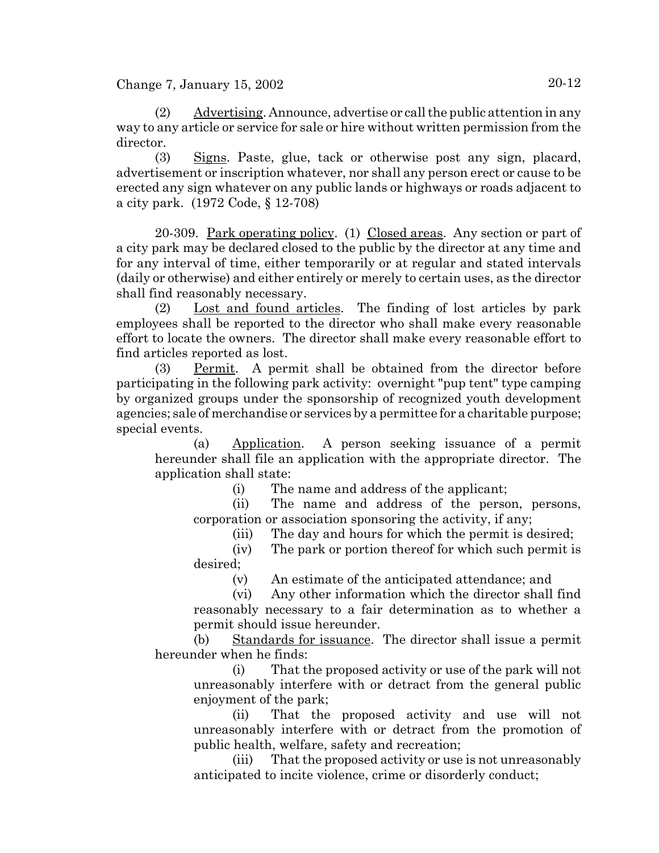(2) Advertising. Announce, advertise or call the public attention in any way to any article or service for sale or hire without written permission from the director.

(3) Signs. Paste, glue, tack or otherwise post any sign, placard, advertisement or inscription whatever, nor shall any person erect or cause to be erected any sign whatever on any public lands or highways or roads adjacent to a city park. (1972 Code, § 12-708)

20-309. Park operating policy. (1) Closed areas. Any section or part of a city park may be declared closed to the public by the director at any time and for any interval of time, either temporarily or at regular and stated intervals (daily or otherwise) and either entirely or merely to certain uses, as the director shall find reasonably necessary.

(2) Lost and found articles. The finding of lost articles by park employees shall be reported to the director who shall make every reasonable effort to locate the owners. The director shall make every reasonable effort to find articles reported as lost.

(3) Permit. A permit shall be obtained from the director before participating in the following park activity: overnight "pup tent" type camping by organized groups under the sponsorship of recognized youth development agencies; sale of merchandise or services by a permittee for a charitable purpose; special events.

(a) Application. A person seeking issuance of a permit hereunder shall file an application with the appropriate director. The application shall state:

(i) The name and address of the applicant;

(ii) The name and address of the person, persons, corporation or association sponsoring the activity, if any;

(iii) The day and hours for which the permit is desired;

(iv) The park or portion thereof for which such permit is desired;

(v) An estimate of the anticipated attendance; and

(vi) Any other information which the director shall find reasonably necessary to a fair determination as to whether a permit should issue hereunder.

(b) Standards for issuance. The director shall issue a permit hereunder when he finds:

(i) That the proposed activity or use of the park will not unreasonably interfere with or detract from the general public enjoyment of the park;

(ii) That the proposed activity and use will not unreasonably interfere with or detract from the promotion of public health, welfare, safety and recreation;

(iii) That the proposed activity or use is not unreasonably anticipated to incite violence, crime or disorderly conduct;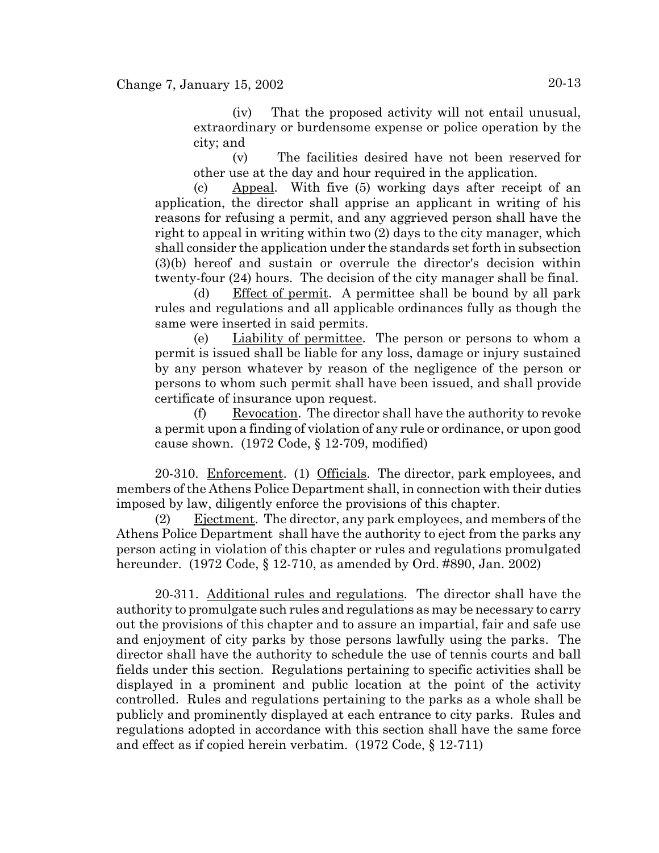(iv) That the proposed activity will not entail unusual, extraordinary or burdensome expense or police operation by the city; and

 (v) The facilities desired have not been reserved for other use at the day and hour required in the application.

(c)  $\Delta$ ppeal. With five (5) working days after receipt of an application, the director shall apprise an applicant in writing of his reasons for refusing a permit, and any aggrieved person shall have the right to appeal in writing within two (2) days to the city manager, which shall consider the application under the standards set forth in subsection (3)(b) hereof and sustain or overrule the director's decision within twenty-four (24) hours. The decision of the city manager shall be final.

(d) Effect of permit. A permittee shall be bound by all park rules and regulations and all applicable ordinances fully as though the same were inserted in said permits.

(e) Liability of permittee. The person or persons to whom a permit is issued shall be liable for any loss, damage or injury sustained by any person whatever by reason of the negligence of the person or persons to whom such permit shall have been issued, and shall provide certificate of insurance upon request.

(f) Revocation. The director shall have the authority to revoke a permit upon a finding of violation of any rule or ordinance, or upon good cause shown. (1972 Code, § 12-709, modified)

20-310. Enforcement. (1) Officials. The director, park employees, and members of the Athens Police Department shall, in connection with their duties imposed by law, diligently enforce the provisions of this chapter.

(2) Ejectment. The director, any park employees, and members of the Athens Police Department shall have the authority to eject from the parks any person acting in violation of this chapter or rules and regulations promulgated hereunder. (1972 Code, § 12-710, as amended by Ord. #890, Jan. 2002)

20-311. Additional rules and regulations. The director shall have the authority to promulgate such rules and regulations as may be necessary to carry out the provisions of this chapter and to assure an impartial, fair and safe use and enjoyment of city parks by those persons lawfully using the parks. The director shall have the authority to schedule the use of tennis courts and ball fields under this section. Regulations pertaining to specific activities shall be displayed in a prominent and public location at the point of the activity controlled. Rules and regulations pertaining to the parks as a whole shall be publicly and prominently displayed at each entrance to city parks. Rules and regulations adopted in accordance with this section shall have the same force and effect as if copied herein verbatim. (1972 Code, § 12-711)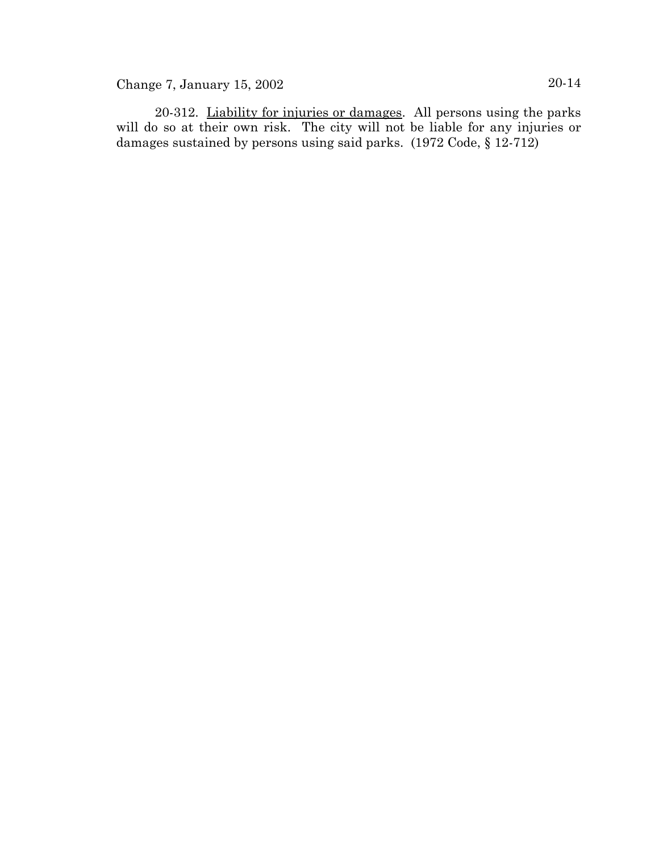Change 7, January 15, 2002 20-14

20-312. Liability for injuries or damages. All persons using the parks will do so at their own risk. The city will not be liable for any injuries or damages sustained by persons using said parks. (1972 Code, § 12-712)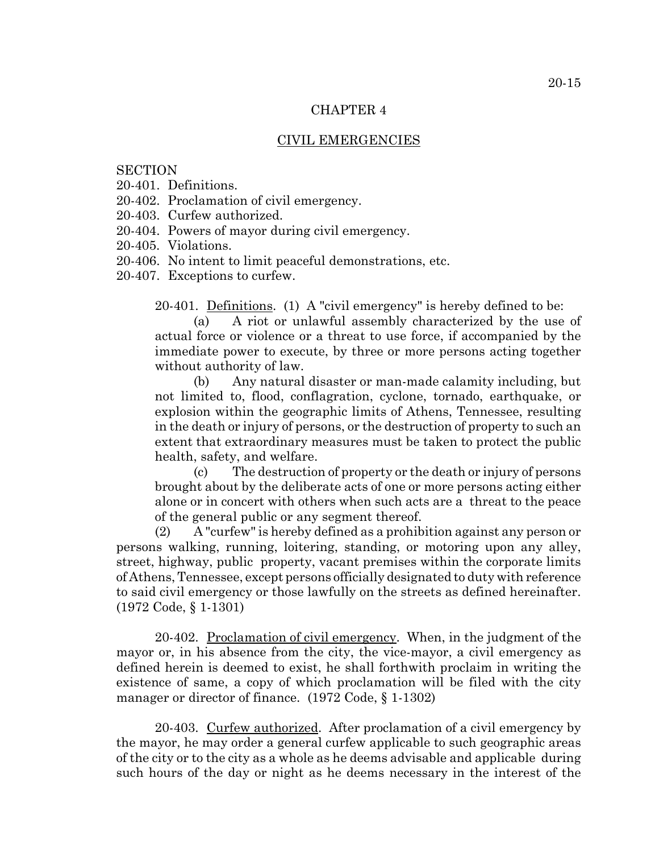#### CHAPTER 4

#### CIVIL EMERGENCIES

## **SECTION**

- 20-401. Definitions.
- 20-402. Proclamation of civil emergency.
- 20-403. Curfew authorized.
- 20-404. Powers of mayor during civil emergency.
- 20-405. Violations.
- 20-406. No intent to limit peaceful demonstrations, etc.
- 20-407. Exceptions to curfew.

20-401. Definitions. (1) A "civil emergency" is hereby defined to be:

(a) A riot or unlawful assembly characterized by the use of actual force or violence or a threat to use force, if accompanied by the immediate power to execute, by three or more persons acting together without authority of law.

(b) Any natural disaster or man-made calamity including, but not limited to, flood, conflagration, cyclone, tornado, earthquake, or explosion within the geographic limits of Athens, Tennessee, resulting in the death or injury of persons, or the destruction of property to such an extent that extraordinary measures must be taken to protect the public health, safety, and welfare.

(c) The destruction of property or the death or injury of persons brought about by the deliberate acts of one or more persons acting either alone or in concert with others when such acts are a threat to the peace of the general public or any segment thereof.

(2) A "curfew" is hereby defined as a prohibition against any person or persons walking, running, loitering, standing, or motoring upon any alley, street, highway, public property, vacant premises within the corporate limits of Athens, Tennessee, except persons officially designated to duty with reference to said civil emergency or those lawfully on the streets as defined hereinafter. (1972 Code, § 1-1301)

20-402. Proclamation of civil emergency. When, in the judgment of the mayor or, in his absence from the city, the vice-mayor, a civil emergency as defined herein is deemed to exist, he shall forthwith proclaim in writing the existence of same, a copy of which proclamation will be filed with the city manager or director of finance. (1972 Code, § 1-1302)

20-403. Curfew authorized. After proclamation of a civil emergency by the mayor, he may order a general curfew applicable to such geographic areas of the city or to the city as a whole as he deems advisable and applicable during such hours of the day or night as he deems necessary in the interest of the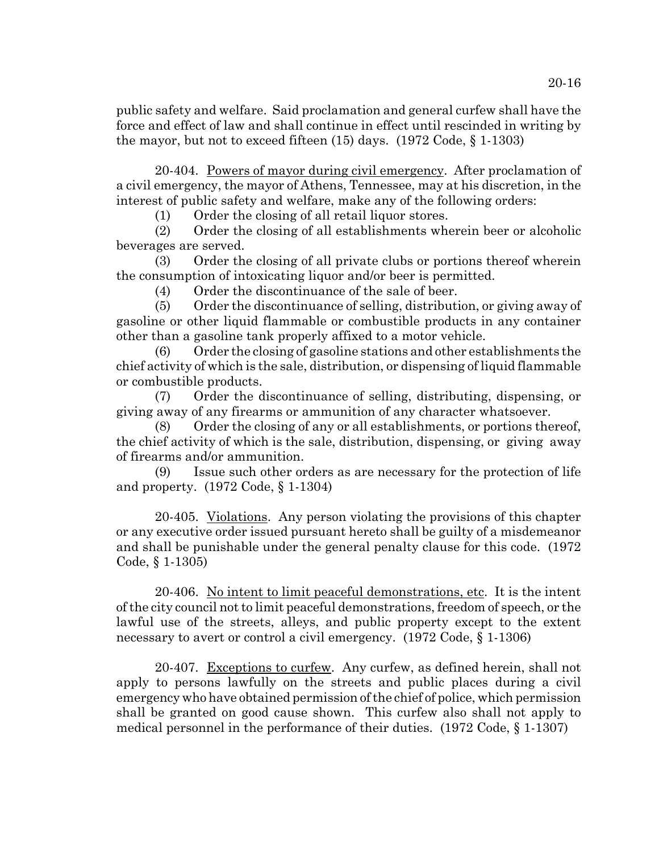public safety and welfare. Said proclamation and general curfew shall have the force and effect of law and shall continue in effect until rescinded in writing by the mayor, but not to exceed fifteen (15) days. (1972 Code, § 1-1303)

20-404. Powers of mayor during civil emergency. After proclamation of a civil emergency, the mayor of Athens, Tennessee, may at his discretion, in the interest of public safety and welfare, make any of the following orders:

(1) Order the closing of all retail liquor stores.

(2) Order the closing of all establishments wherein beer or alcoholic beverages are served.

(3) Order the closing of all private clubs or portions thereof wherein the consumption of intoxicating liquor and/or beer is permitted.

(4) Order the discontinuance of the sale of beer.

(5) Order the discontinuance of selling, distribution, or giving away of gasoline or other liquid flammable or combustible products in any container other than a gasoline tank properly affixed to a motor vehicle.

(6) Order the closing of gasoline stations and other establishments the chief activity of which is the sale, distribution, or dispensing of liquid flammable or combustible products.

(7) Order the discontinuance of selling, distributing, dispensing, or giving away of any firearms or ammunition of any character whatsoever.

(8) Order the closing of any or all establishments, or portions thereof, the chief activity of which is the sale, distribution, dispensing, or giving away of firearms and/or ammunition.

(9) Issue such other orders as are necessary for the protection of life and property. (1972 Code, § 1-1304)

20-405. Violations. Any person violating the provisions of this chapter or any executive order issued pursuant hereto shall be guilty of a misdemeanor and shall be punishable under the general penalty clause for this code. (1972 Code, § 1-1305)

20-406. No intent to limit peaceful demonstrations, etc. It is the intent of the city council not to limit peaceful demonstrations, freedom of speech, or the lawful use of the streets, alleys, and public property except to the extent necessary to avert or control a civil emergency. (1972 Code, § 1-1306)

20-407. Exceptions to curfew. Any curfew, as defined herein, shall not apply to persons lawfully on the streets and public places during a civil emergency who have obtained permission of the chief of police, which permission shall be granted on good cause shown. This curfew also shall not apply to medical personnel in the performance of their duties. (1972 Code, § 1-1307)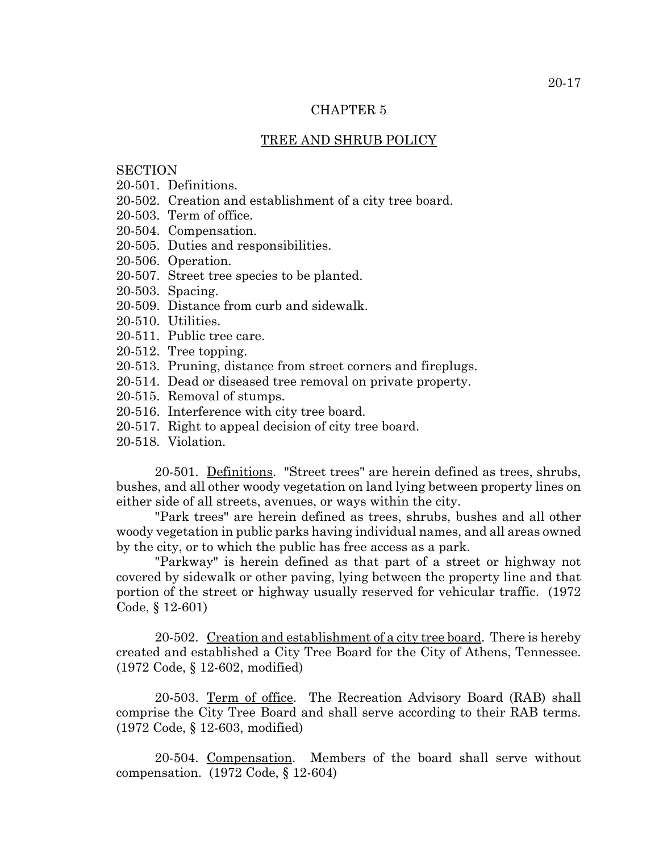#### CHAPTER 5

#### TREE AND SHRUB POLICY

# **SECTION**

- 20-501. Definitions.
- 20-502. Creation and establishment of a city tree board.
- 20-503. Term of office.
- 20-504. Compensation.
- 20-505. Duties and responsibilities.
- 20-506. Operation.
- 20-507. Street tree species to be planted.
- 20-503. Spacing.
- 20-509. Distance from curb and sidewalk.
- 20-510. Utilities.
- 20-511. Public tree care.
- 20-512. Tree topping.
- 20-513. Pruning, distance from street corners and fireplugs.
- 20-514. Dead or diseased tree removal on private property.
- 20-515. Removal of stumps.
- 20-516. Interference with city tree board.
- 20-517. Right to appeal decision of city tree board.
- 20-518. Violation.

20-501. Definitions. "Street trees" are herein defined as trees, shrubs, bushes, and all other woody vegetation on land lying between property lines on either side of all streets, avenues, or ways within the city.

"Park trees" are herein defined as trees, shrubs, bushes and all other woody vegetation in public parks having individual names, and all areas owned by the city, or to which the public has free access as a park.

"Parkway" is herein defined as that part of a street or highway not covered by sidewalk or other paving, lying between the property line and that portion of the street or highway usually reserved for vehicular traffic. (1972 Code, § 12-601)

20-502. Creation and establishment of a city tree board. There is hereby created and established a City Tree Board for the City of Athens, Tennessee. (1972 Code, § 12-602, modified)

20-503. Term of office. The Recreation Advisory Board (RAB) shall comprise the City Tree Board and shall serve according to their RAB terms. (1972 Code, § 12-603, modified)

20-504. Compensation. Members of the board shall serve without compensation. (1972 Code, § 12-604)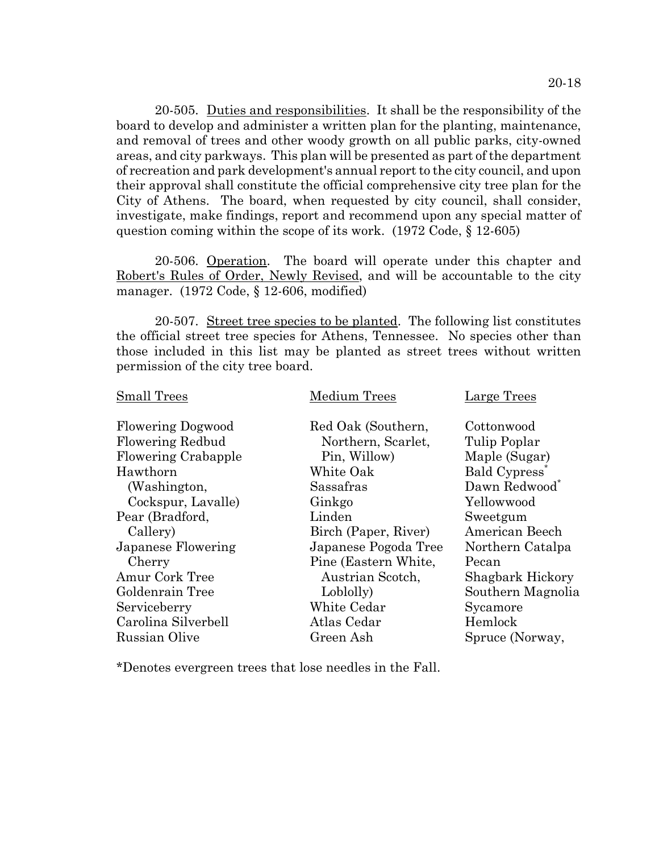20-505. Duties and responsibilities. It shall be the responsibility of the board to develop and administer a written plan for the planting, maintenance, and removal of trees and other woody growth on all public parks, city-owned areas, and city parkways. This plan will be presented as part of the department of recreation and park development's annual report to the city council, and upon their approval shall constitute the official comprehensive city tree plan for the City of Athens. The board, when requested by city council, shall consider, investigate, make findings, report and recommend upon any special matter of question coming within the scope of its work. (1972 Code, § 12-605)

20-506. Operation. The board will operate under this chapter and Robert's Rules of Order, Newly Revised, and will be accountable to the city manager. (1972 Code, § 12-606, modified)

20-507. Street tree species to be planted. The following list constitutes the official street tree species for Athens, Tennessee. No species other than those included in this list may be planted as street trees without written permission of the city tree board.

| <b>Small Trees</b>         | Medium Trees         | Large Trees               |
|----------------------------|----------------------|---------------------------|
| <b>Flowering Dogwood</b>   | Red Oak (Southern,   | Cottonwood                |
| <b>Flowering Redbud</b>    | Northern, Scarlet,   | Tulip Poplar              |
| <b>Flowering Crabapple</b> | Pin, Willow)         | Maple (Sugar)             |
| Hawthorn                   | White Oak            | Bald Cypress <sup>'</sup> |
| (Washington,               | Sassafras            | Dawn Redwood <sup>*</sup> |
| Cockspur, Lavalle)         | Ginkgo               | Yellowwood                |
| Pear (Bradford,            | Linden               | Sweetgum                  |
| Callery)                   | Birch (Paper, River) | American Beech            |
| Japanese Flowering         | Japanese Pogoda Tree | Northern Catalpa          |
| Cherry                     | Pine (Eastern White, | Pecan                     |
| Amur Cork Tree             | Austrian Scotch,     | <b>Shagbark Hickory</b>   |
| Goldenrain Tree            | Loblolly)            | Southern Magnolia         |
| Serviceberry               | White Cedar          | Sycamore                  |
| Carolina Silverbell        | Atlas Cedar          | Hemlock                   |
| Russian Olive              | Green Ash            | Spruce (Norway,           |
|                            |                      |                           |

\*Denotes evergreen trees that lose needles in the Fall.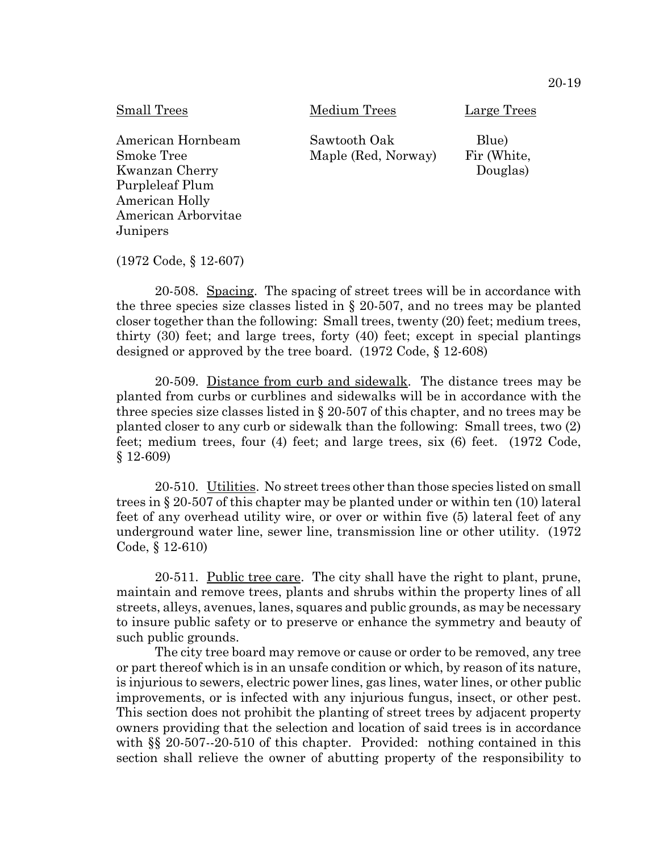| <b>Small Trees</b>  | <b>Medium</b> Trees | Large Trees |
|---------------------|---------------------|-------------|
| American Hornbeam   | Sawtooth Oak        | Blue)       |
| <b>Smoke Tree</b>   | Maple (Red, Norway) | Fir (White, |
| Kwanzan Cherry      |                     | Douglas)    |
| Purpleleaf Plum     |                     |             |
| American Holly      |                     |             |
| American Arborvitae |                     |             |
| Junipers            |                     |             |

(1972 Code, § 12-607)

20-508. Spacing. The spacing of street trees will be in accordance with the three species size classes listed in § 20-507, and no trees may be planted closer together than the following: Small trees, twenty (20) feet; medium trees, thirty (30) feet; and large trees, forty (40) feet; except in special plantings designed or approved by the tree board. (1972 Code, § 12-608)

20-509. Distance from curb and sidewalk. The distance trees may be planted from curbs or curblines and sidewalks will be in accordance with the three species size classes listed in § 20-507 of this chapter, and no trees may be planted closer to any curb or sidewalk than the following: Small trees, two (2) feet; medium trees, four (4) feet; and large trees, six (6) feet. (1972 Code, § 12-609)

20-510. Utilities. No street trees other than those species listed on small trees in § 20-507 of this chapter may be planted under or within ten (10) lateral feet of any overhead utility wire, or over or within five (5) lateral feet of any underground water line, sewer line, transmission line or other utility. (1972 Code, § 12-610)

20-511. Public tree care. The city shall have the right to plant, prune, maintain and remove trees, plants and shrubs within the property lines of all streets, alleys, avenues, lanes, squares and public grounds, as may be necessary to insure public safety or to preserve or enhance the symmetry and beauty of such public grounds.

The city tree board may remove or cause or order to be removed, any tree or part thereof which is in an unsafe condition or which, by reason of its nature, is injurious to sewers, electric power lines, gas lines, water lines, or other public improvements, or is infected with any injurious fungus, insect, or other pest. This section does not prohibit the planting of street trees by adjacent property owners providing that the selection and location of said trees is in accordance with §§ 20-507--20-510 of this chapter. Provided: nothing contained in this section shall relieve the owner of abutting property of the responsibility to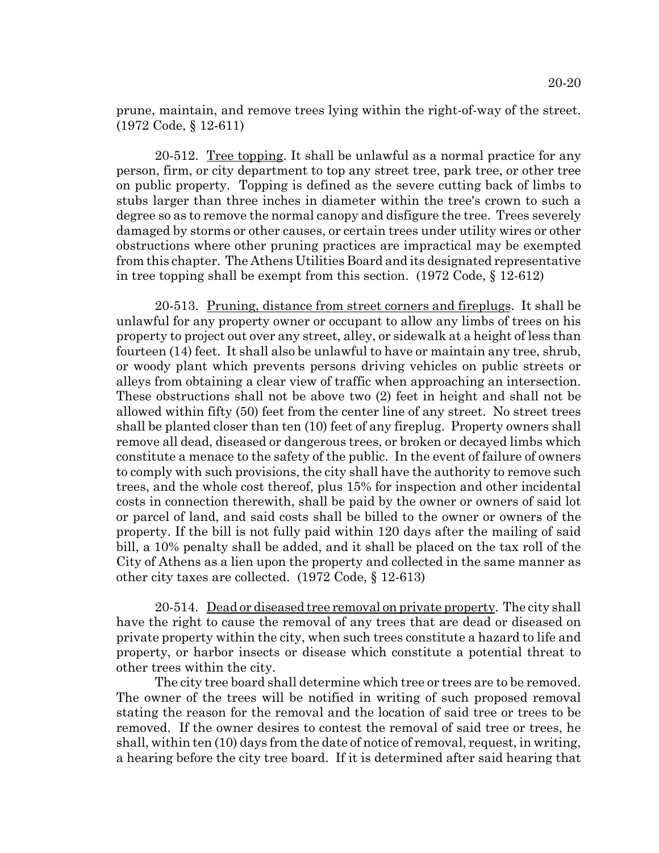prune, maintain, and remove trees lying within the right-of-way of the street. (1972 Code, § 12-611)

20-512. Tree topping. It shall be unlawful as a normal practice for any person, firm, or city department to top any street tree, park tree, or other tree on public property. Topping is defined as the severe cutting back of limbs to stubs larger than three inches in diameter within the tree's crown to such a degree so as to remove the normal canopy and disfigure the tree. Trees severely damaged by storms or other causes, or certain trees under utility wires or other obstructions where other pruning practices are impractical may be exempted from this chapter. The Athens Utilities Board and its designated representative in tree topping shall be exempt from this section. (1972 Code, § 12-612)

20-513. Pruning, distance from street corners and fireplugs. It shall be unlawful for any property owner or occupant to allow any limbs of trees on his property to project out over any street, alley, or sidewalk at a height of less than fourteen (14) feet. It shall also be unlawful to have or maintain any tree, shrub, or woody plant which prevents persons driving vehicles on public streets or alleys from obtaining a clear view of traffic when approaching an intersection. These obstructions shall not be above two (2) feet in height and shall not be allowed within fifty (50) feet from the center line of any street. No street trees shall be planted closer than ten (10) feet of any fireplug. Property owners shall remove all dead, diseased or dangerous trees, or broken or decayed limbs which constitute a menace to the safety of the public. In the event of failure of owners to comply with such provisions, the city shall have the authority to remove such trees, and the whole cost thereof, plus 15% for inspection and other incidental costs in connection therewith, shall be paid by the owner or owners of said lot or parcel of land, and said costs shall be billed to the owner or owners of the property. If the bill is not fully paid within 120 days after the mailing of said bill, a 10% penalty shall be added, and it shall be placed on the tax roll of the City of Athens as a lien upon the property and collected in the same manner as other city taxes are collected. (1972 Code, § 12-613)

20-514. Dead or diseased tree removal on private property. The city shall have the right to cause the removal of any trees that are dead or diseased on private property within the city, when such trees constitute a hazard to life and property, or harbor insects or disease which constitute a potential threat to other trees within the city.

The city tree board shall determine which tree or trees are to be removed. The owner of the trees will be notified in writing of such proposed removal stating the reason for the removal and the location of said tree or trees to be removed. If the owner desires to contest the removal of said tree or trees, he shall, within ten (10) days from the date of notice of removal, request, in writing, a hearing before the city tree board. If it is determined after said hearing that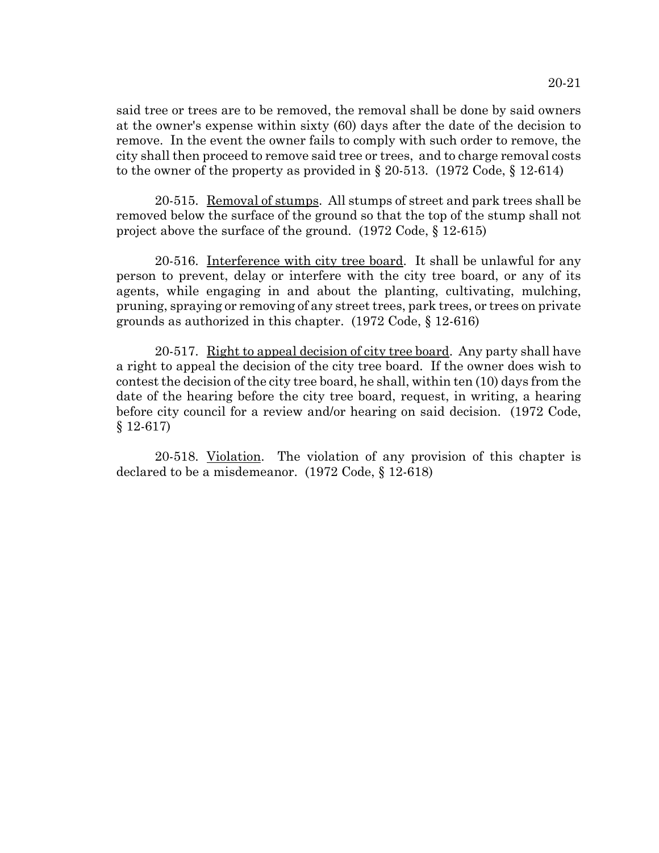said tree or trees are to be removed, the removal shall be done by said owners at the owner's expense within sixty (60) days after the date of the decision to remove. In the event the owner fails to comply with such order to remove, the city shall then proceed to remove said tree or trees, and to charge removal costs to the owner of the property as provided in § 20-513. (1972 Code, § 12-614)

20-515. Removal of stumps. All stumps of street and park trees shall be removed below the surface of the ground so that the top of the stump shall not project above the surface of the ground. (1972 Code, § 12-615)

20-516. Interference with city tree board. It shall be unlawful for any person to prevent, delay or interfere with the city tree board, or any of its agents, while engaging in and about the planting, cultivating, mulching, pruning, spraying or removing of any street trees, park trees, or trees on private grounds as authorized in this chapter. (1972 Code, § 12-616)

20-517. Right to appeal decision of city tree board. Any party shall have a right to appeal the decision of the city tree board. If the owner does wish to contest the decision of the city tree board, he shall, within ten (10) days from the date of the hearing before the city tree board, request, in writing, a hearing before city council for a review and/or hearing on said decision. (1972 Code, § 12-617)

20-518. Violation. The violation of any provision of this chapter is declared to be a misdemeanor. (1972 Code, § 12-618)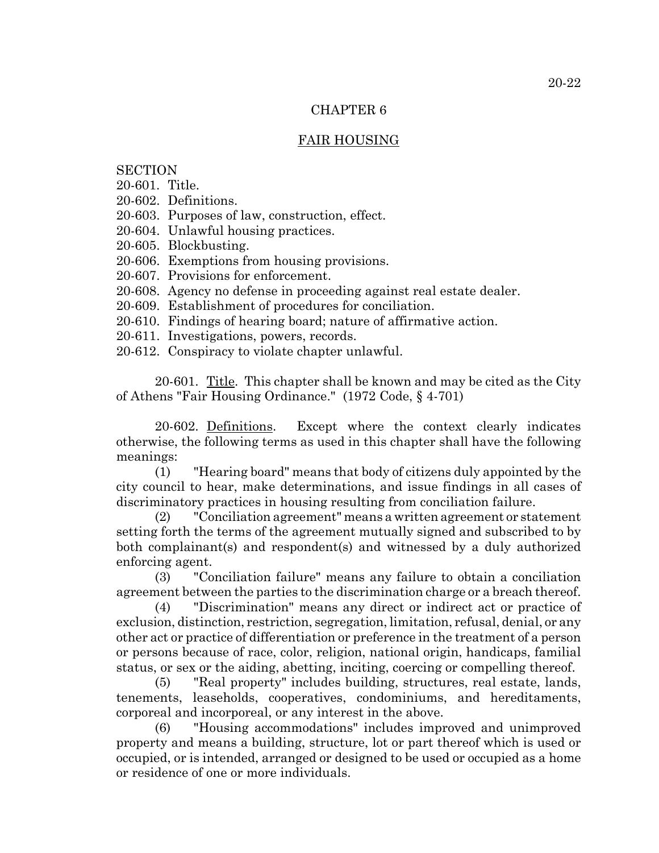#### CHAPTER 6

# FAIR HOUSING

# **SECTION**

20-601. Title.

20-602. Definitions.

20-603. Purposes of law, construction, effect.

20-604. Unlawful housing practices.

20-605. Blockbusting.

20-606. Exemptions from housing provisions.

20-607. Provisions for enforcement.

20-608. Agency no defense in proceeding against real estate dealer.

20-609. Establishment of procedures for conciliation.

20-610. Findings of hearing board; nature of affirmative action.

20-611. Investigations, powers, records.

20-612. Conspiracy to violate chapter unlawful.

20-601. Title. This chapter shall be known and may be cited as the City of Athens "Fair Housing Ordinance." (1972 Code, § 4-701)

20-602. Definitions. Except where the context clearly indicates otherwise, the following terms as used in this chapter shall have the following meanings:

(1) "Hearing board" means that body of citizens duly appointed by the city council to hear, make determinations, and issue findings in all cases of discriminatory practices in housing resulting from conciliation failure.

(2) "Conciliation agreement" means a written agreement or statement setting forth the terms of the agreement mutually signed and subscribed to by both complainant(s) and respondent(s) and witnessed by a duly authorized enforcing agent.

(3) "Conciliation failure" means any failure to obtain a conciliation agreement between the parties to the discrimination charge or a breach thereof.

(4) "Discrimination" means any direct or indirect act or practice of exclusion, distinction, restriction, segregation, limitation, refusal, denial, or any other act or practice of differentiation or preference in the treatment of a person or persons because of race, color, religion, national origin, handicaps, familial status, or sex or the aiding, abetting, inciting, coercing or compelling thereof.

(5) "Real property" includes building, structures, real estate, lands, tenements, leaseholds, cooperatives, condominiums, and hereditaments, corporeal and incorporeal, or any interest in the above.

(6) "Housing accommodations" includes improved and unimproved property and means a building, structure, lot or part thereof which is used or occupied, or is intended, arranged or designed to be used or occupied as a home or residence of one or more individuals.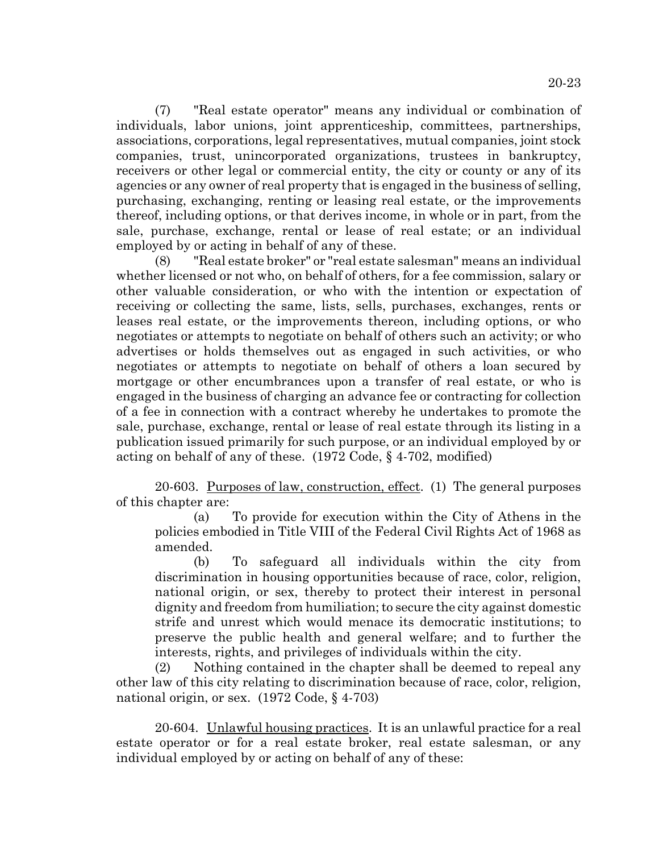(7) "Real estate operator" means any individual or combination of individuals, labor unions, joint apprenticeship, committees, partnerships, associations, corporations, legal representatives, mutual companies, joint stock companies, trust, unincorporated organizations, trustees in bankruptcy, receivers or other legal or commercial entity, the city or county or any of its agencies or any owner of real property that is engaged in the business of selling, purchasing, exchanging, renting or leasing real estate, or the improvements thereof, including options, or that derives income, in whole or in part, from the sale, purchase, exchange, rental or lease of real estate; or an individual employed by or acting in behalf of any of these.

(8) "Real estate broker" or "real estate salesman" means an individual whether licensed or not who, on behalf of others, for a fee commission, salary or other valuable consideration, or who with the intention or expectation of receiving or collecting the same, lists, sells, purchases, exchanges, rents or leases real estate, or the improvements thereon, including options, or who negotiates or attempts to negotiate on behalf of others such an activity; or who advertises or holds themselves out as engaged in such activities, or who negotiates or attempts to negotiate on behalf of others a loan secured by mortgage or other encumbrances upon a transfer of real estate, or who is engaged in the business of charging an advance fee or contracting for collection of a fee in connection with a contract whereby he undertakes to promote the sale, purchase, exchange, rental or lease of real estate through its listing in a publication issued primarily for such purpose, or an individual employed by or acting on behalf of any of these. (1972 Code, § 4-702, modified)

20-603. Purposes of law, construction, effect. (1) The general purposes of this chapter are:

(a) To provide for execution within the City of Athens in the policies embodied in Title VIII of the Federal Civil Rights Act of 1968 as amended.

(b) To safeguard all individuals within the city from discrimination in housing opportunities because of race, color, religion, national origin, or sex, thereby to protect their interest in personal dignity and freedom from humiliation; to secure the city against domestic strife and unrest which would menace its democratic institutions; to preserve the public health and general welfare; and to further the interests, rights, and privileges of individuals within the city.

(2) Nothing contained in the chapter shall be deemed to repeal any other law of this city relating to discrimination because of race, color, religion, national origin, or sex. (1972 Code, § 4-703)

20-604. Unlawful housing practices. It is an unlawful practice for a real estate operator or for a real estate broker, real estate salesman, or any individual employed by or acting on behalf of any of these: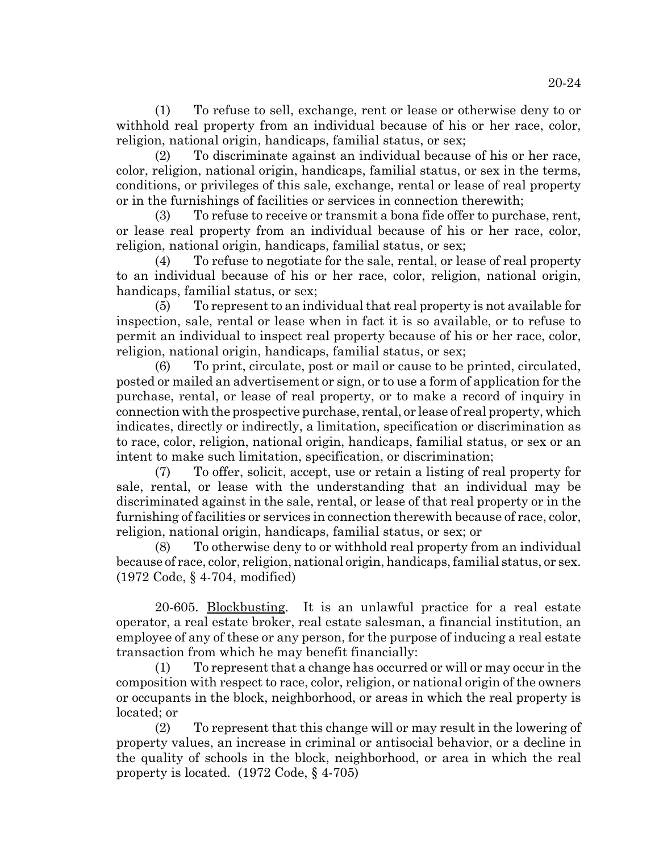(1) To refuse to sell, exchange, rent or lease or otherwise deny to or withhold real property from an individual because of his or her race, color, religion, national origin, handicaps, familial status, or sex;

To discriminate against an individual because of his or her race, color, religion, national origin, handicaps, familial status, or sex in the terms, conditions, or privileges of this sale, exchange, rental or lease of real property or in the furnishings of facilities or services in connection therewith;

(3) To refuse to receive or transmit a bona fide offer to purchase, rent, or lease real property from an individual because of his or her race, color, religion, national origin, handicaps, familial status, or sex;

(4) To refuse to negotiate for the sale, rental, or lease of real property to an individual because of his or her race, color, religion, national origin, handicaps, familial status, or sex;

(5) To represent to an individual that real property is not available for inspection, sale, rental or lease when in fact it is so available, or to refuse to permit an individual to inspect real property because of his or her race, color, religion, national origin, handicaps, familial status, or sex;

(6) To print, circulate, post or mail or cause to be printed, circulated, posted or mailed an advertisement or sign, or to use a form of application for the purchase, rental, or lease of real property, or to make a record of inquiry in connection with the prospective purchase, rental, or lease of real property, which indicates, directly or indirectly, a limitation, specification or discrimination as to race, color, religion, national origin, handicaps, familial status, or sex or an intent to make such limitation, specification, or discrimination;

(7) To offer, solicit, accept, use or retain a listing of real property for sale, rental, or lease with the understanding that an individual may be discriminated against in the sale, rental, or lease of that real property or in the furnishing of facilities or services in connection therewith because of race, color, religion, national origin, handicaps, familial status, or sex; or

(8) To otherwise deny to or withhold real property from an individual because of race, color, religion, national origin, handicaps, familial status, or sex. (1972 Code, § 4-704, modified)

20-605. Blockbusting. It is an unlawful practice for a real estate operator, a real estate broker, real estate salesman, a financial institution, an employee of any of these or any person, for the purpose of inducing a real estate transaction from which he may benefit financially:

(1) To represent that a change has occurred or will or may occur in the composition with respect to race, color, religion, or national origin of the owners or occupants in the block, neighborhood, or areas in which the real property is located; or

(2) To represent that this change will or may result in the lowering of property values, an increase in criminal or antisocial behavior, or a decline in the quality of schools in the block, neighborhood, or area in which the real property is located. (1972 Code, § 4-705)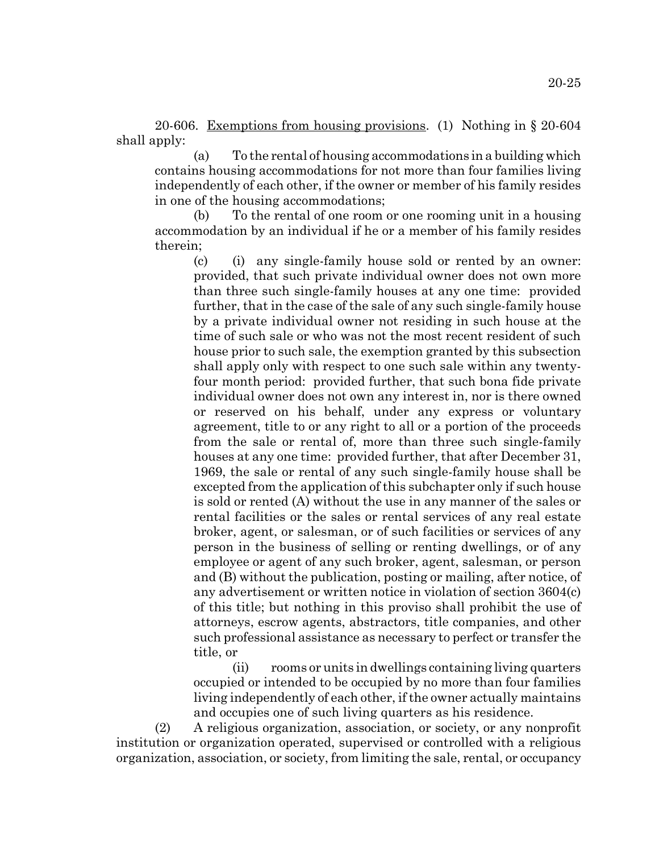20-606. Exemptions from housing provisions. (1) Nothing in § 20-604 shall apply:

(a) To the rental of housing accommodations in a building which contains housing accommodations for not more than four families living independently of each other, if the owner or member of his family resides in one of the housing accommodations;

(b) To the rental of one room or one rooming unit in a housing accommodation by an individual if he or a member of his family resides therein;

(c) (i) any single-family house sold or rented by an owner: provided, that such private individual owner does not own more than three such single-family houses at any one time: provided further, that in the case of the sale of any such single-family house by a private individual owner not residing in such house at the time of such sale or who was not the most recent resident of such house prior to such sale, the exemption granted by this subsection shall apply only with respect to one such sale within any twentyfour month period: provided further, that such bona fide private individual owner does not own any interest in, nor is there owned or reserved on his behalf, under any express or voluntary agreement, title to or any right to all or a portion of the proceeds from the sale or rental of, more than three such single-family houses at any one time: provided further, that after December 31, 1969, the sale or rental of any such single-family house shall be excepted from the application of this subchapter only if such house is sold or rented (A) without the use in any manner of the sales or rental facilities or the sales or rental services of any real estate broker, agent, or salesman, or of such facilities or services of any person in the business of selling or renting dwellings, or of any employee or agent of any such broker, agent, salesman, or person and (B) without the publication, posting or mailing, after notice, of any advertisement or written notice in violation of section 3604(c) of this title; but nothing in this proviso shall prohibit the use of attorneys, escrow agents, abstractors, title companies, and other such professional assistance as necessary to perfect or transfer the title, or

(ii) rooms or units in dwellings containing living quarters occupied or intended to be occupied by no more than four families living independently of each other, if the owner actually maintains and occupies one of such living quarters as his residence.

(2) A religious organization, association, or society, or any nonprofit institution or organization operated, supervised or controlled with a religious organization, association, or society, from limiting the sale, rental, or occupancy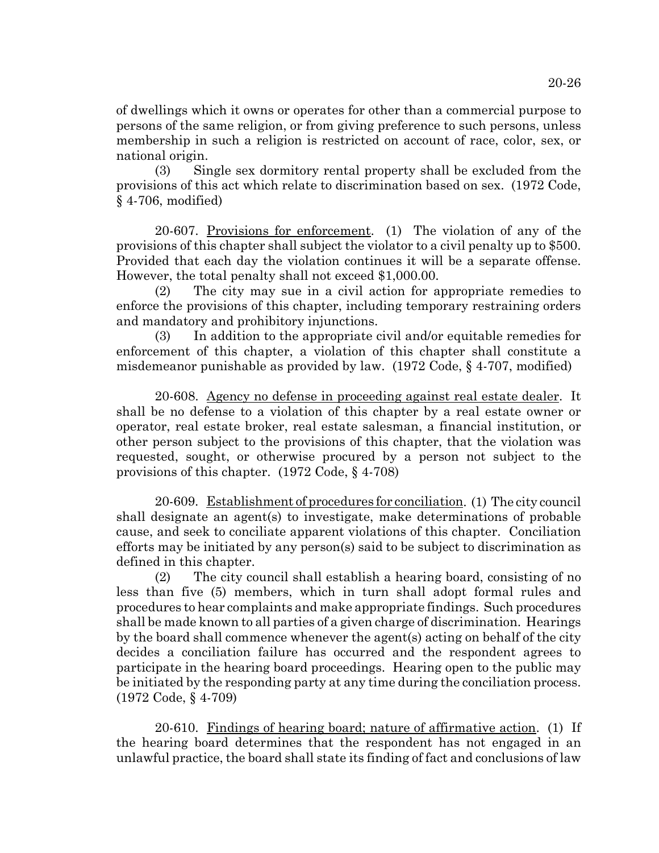of dwellings which it owns or operates for other than a commercial purpose to persons of the same religion, or from giving preference to such persons, unless membership in such a religion is restricted on account of race, color, sex, or national origin.

(3) Single sex dormitory rental property shall be excluded from the provisions of this act which relate to discrimination based on sex. (1972 Code, § 4-706, modified)

20-607. Provisions for enforcement. (1) The violation of any of the provisions of this chapter shall subject the violator to a civil penalty up to \$500. Provided that each day the violation continues it will be a separate offense. However, the total penalty shall not exceed \$1,000.00.

(2) The city may sue in a civil action for appropriate remedies to enforce the provisions of this chapter, including temporary restraining orders and mandatory and prohibitory injunctions.

(3) In addition to the appropriate civil and/or equitable remedies for enforcement of this chapter, a violation of this chapter shall constitute a misdemeanor punishable as provided by law. (1972 Code, § 4-707, modified)

20-608. Agency no defense in proceeding against real estate dealer. It shall be no defense to a violation of this chapter by a real estate owner or operator, real estate broker, real estate salesman, a financial institution, or other person subject to the provisions of this chapter, that the violation was requested, sought, or otherwise procured by a person not subject to the provisions of this chapter. (1972 Code, § 4-708)

20-609. Establishment of procedures for conciliation. (1) The city council shall designate an agent(s) to investigate, make determinations of probable cause, and seek to conciliate apparent violations of this chapter. Conciliation efforts may be initiated by any person(s) said to be subject to discrimination as defined in this chapter.

(2) The city council shall establish a hearing board, consisting of no less than five (5) members, which in turn shall adopt formal rules and procedures to hear complaints and make appropriate findings. Such procedures shall be made known to all parties of a given charge of discrimination. Hearings by the board shall commence whenever the agent(s) acting on behalf of the city decides a conciliation failure has occurred and the respondent agrees to participate in the hearing board proceedings. Hearing open to the public may be initiated by the responding party at any time during the conciliation process. (1972 Code, § 4-709)

20-610. Findings of hearing board; nature of affirmative action. (1) If the hearing board determines that the respondent has not engaged in an unlawful practice, the board shall state its finding of fact and conclusions of law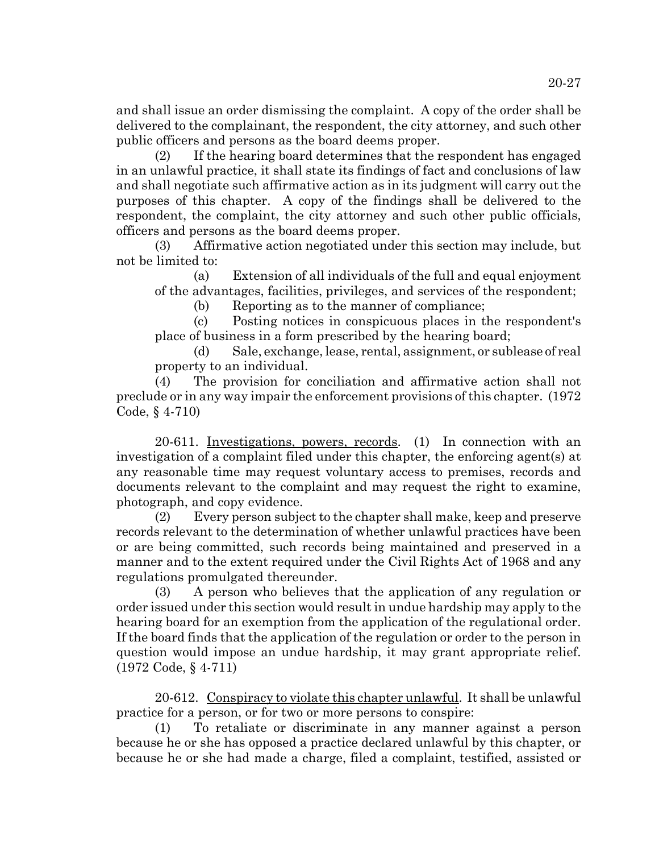and shall issue an order dismissing the complaint. A copy of the order shall be delivered to the complainant, the respondent, the city attorney, and such other public officers and persons as the board deems proper.

(2) If the hearing board determines that the respondent has engaged in an unlawful practice, it shall state its findings of fact and conclusions of law and shall negotiate such affirmative action as in its judgment will carry out the purposes of this chapter. A copy of the findings shall be delivered to the respondent, the complaint, the city attorney and such other public officials, officers and persons as the board deems proper.

(3) Affirmative action negotiated under this section may include, but not be limited to:

(a) Extension of all individuals of the full and equal enjoyment of the advantages, facilities, privileges, and services of the respondent;

(b) Reporting as to the manner of compliance;

(c) Posting notices in conspicuous places in the respondent's place of business in a form prescribed by the hearing board;

(d) Sale, exchange, lease, rental, assignment, or sublease of real property to an individual.

(4) The provision for conciliation and affirmative action shall not preclude or in any way impair the enforcement provisions of this chapter. (1972 Code, § 4-710)

20-611. Investigations, powers, records. (1) In connection with an investigation of a complaint filed under this chapter, the enforcing agent(s) at any reasonable time may request voluntary access to premises, records and documents relevant to the complaint and may request the right to examine, photograph, and copy evidence.

(2) Every person subject to the chapter shall make, keep and preserve records relevant to the determination of whether unlawful practices have been or are being committed, such records being maintained and preserved in a manner and to the extent required under the Civil Rights Act of 1968 and any regulations promulgated thereunder.

(3) A person who believes that the application of any regulation or order issued under this section would result in undue hardship may apply to the hearing board for an exemption from the application of the regulational order. If the board finds that the application of the regulation or order to the person in question would impose an undue hardship, it may grant appropriate relief. (1972 Code, § 4-711)

20-612. Conspiracy to violate this chapter unlawful. It shall be unlawful practice for a person, or for two or more persons to conspire:

(1) To retaliate or discriminate in any manner against a person because he or she has opposed a practice declared unlawful by this chapter, or because he or she had made a charge, filed a complaint, testified, assisted or